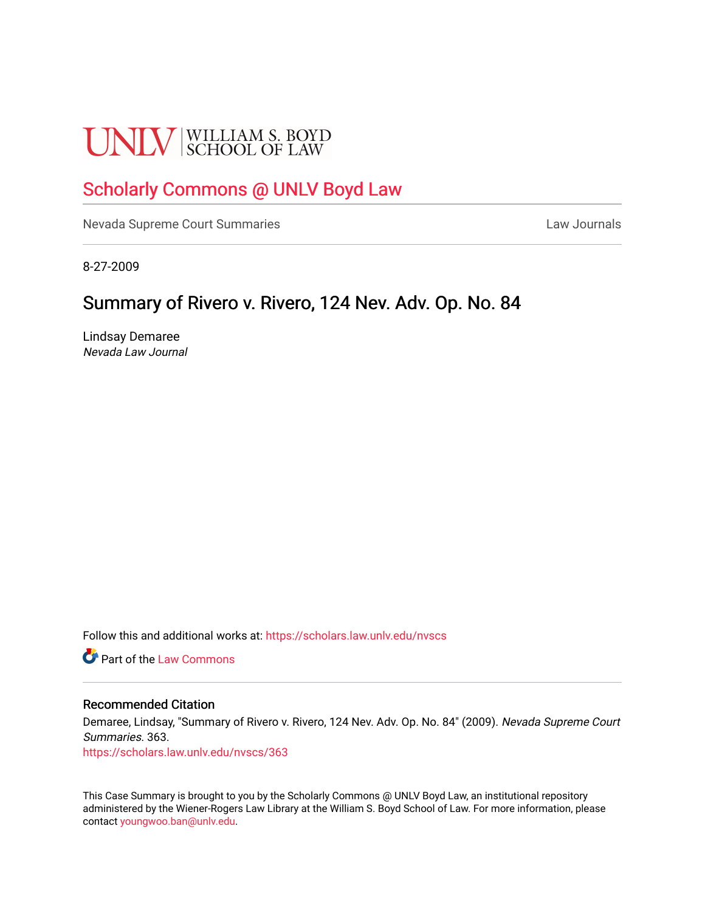# **UNLV** SCHOOL OF LAW

## [Scholarly Commons @ UNLV Boyd Law](https://scholars.law.unlv.edu/)

[Nevada Supreme Court Summaries](https://scholars.law.unlv.edu/nvscs) **Law Journals** Law Journals

8-27-2009

# Summary of Rivero v. Rivero, 124 Nev. Adv. Op. No. 84

Lindsay Demaree Nevada Law Journal

Follow this and additional works at: [https://scholars.law.unlv.edu/nvscs](https://scholars.law.unlv.edu/nvscs?utm_source=scholars.law.unlv.edu%2Fnvscs%2F363&utm_medium=PDF&utm_campaign=PDFCoverPages)

**C** Part of the [Law Commons](http://network.bepress.com/hgg/discipline/578?utm_source=scholars.law.unlv.edu%2Fnvscs%2F363&utm_medium=PDF&utm_campaign=PDFCoverPages)

#### Recommended Citation

Demaree, Lindsay, "Summary of Rivero v. Rivero, 124 Nev. Adv. Op. No. 84" (2009). Nevada Supreme Court Summaries. 363.

[https://scholars.law.unlv.edu/nvscs/363](https://scholars.law.unlv.edu/nvscs/363?utm_source=scholars.law.unlv.edu%2Fnvscs%2F363&utm_medium=PDF&utm_campaign=PDFCoverPages)

This Case Summary is brought to you by the Scholarly Commons @ UNLV Boyd Law, an institutional repository administered by the Wiener-Rogers Law Library at the William S. Boyd School of Law. For more information, please contact [youngwoo.ban@unlv.edu](mailto:youngwoo.ban@unlv.edu).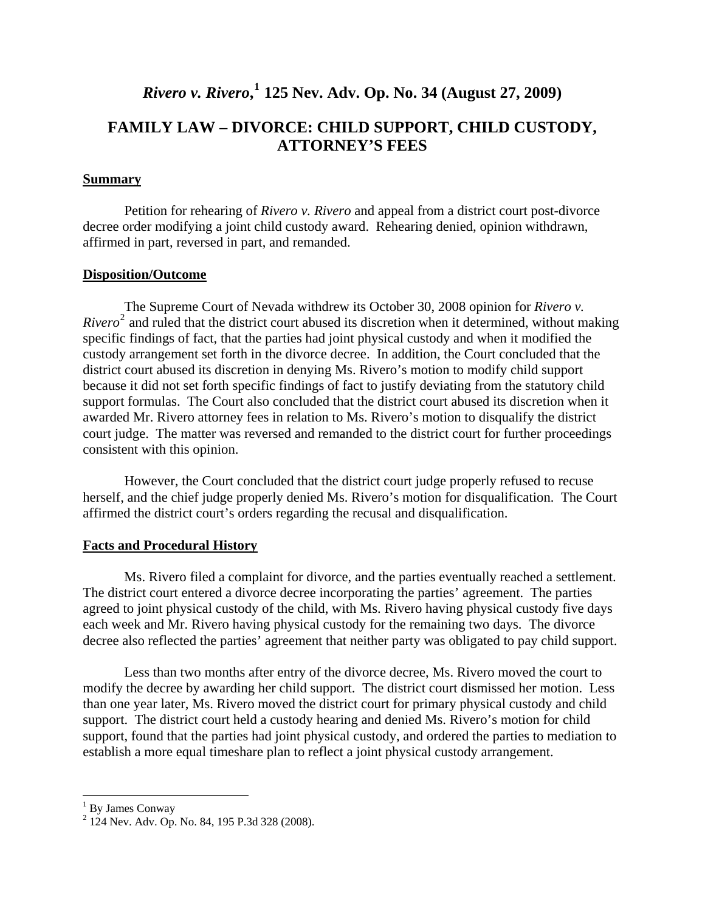## *Rivero v. Rivero***, [1](#page-1-0) 125 Nev. Adv. Op. No. 34 (August 27, 2009)**

### **FAMILY LAW – DIVORCE: CHILD SUPPORT, CHILD CUSTODY, ATTORNEY'S FEES**

#### **Summary**

 Petition for rehearing of *Rivero v. Rivero* and appeal from a district court post-divorce decree order modifying a joint child custody award. Rehearing denied, opinion withdrawn, affirmed in part, reversed in part, and remanded.

#### **Disposition/Outcome**

 The Supreme Court of Nevada withdrew its October 30, 2008 opinion for *Rivero v.*  Rivero<sup>[2](#page-1-1)</sup> and ruled that the district court abused its discretion when it determined, without making specific findings of fact, that the parties had joint physical custody and when it modified the custody arrangement set forth in the divorce decree. In addition, the Court concluded that the district court abused its discretion in denying Ms. Rivero's motion to modify child support because it did not set forth specific findings of fact to justify deviating from the statutory child support formulas. The Court also concluded that the district court abused its discretion when it awarded Mr. Rivero attorney fees in relation to Ms. Rivero's motion to disqualify the district court judge. The matter was reversed and remanded to the district court for further proceedings consistent with this opinion.

 However, the Court concluded that the district court judge properly refused to recuse herself, and the chief judge properly denied Ms. Rivero's motion for disqualification. The Court affirmed the district court's orders regarding the recusal and disqualification.

#### **Facts and Procedural History**

 Ms. Rivero filed a complaint for divorce, and the parties eventually reached a settlement. The district court entered a divorce decree incorporating the parties' agreement. The parties agreed to joint physical custody of the child, with Ms. Rivero having physical custody five days each week and Mr. Rivero having physical custody for the remaining two days. The divorce decree also reflected the parties' agreement that neither party was obligated to pay child support.

 Less than two months after entry of the divorce decree, Ms. Rivero moved the court to modify the decree by awarding her child support. The district court dismissed her motion. Less than one year later, Ms. Rivero moved the district court for primary physical custody and child support. The district court held a custody hearing and denied Ms. Rivero's motion for child support, found that the parties had joint physical custody, and ordered the parties to mediation to establish a more equal timeshare plan to reflect a joint physical custody arrangement.

<span id="page-1-1"></span><span id="page-1-0"></span>

 1 By James Conway 2 124 Nev. Adv. Op. No. 84, 195 P.3d 328 (2008).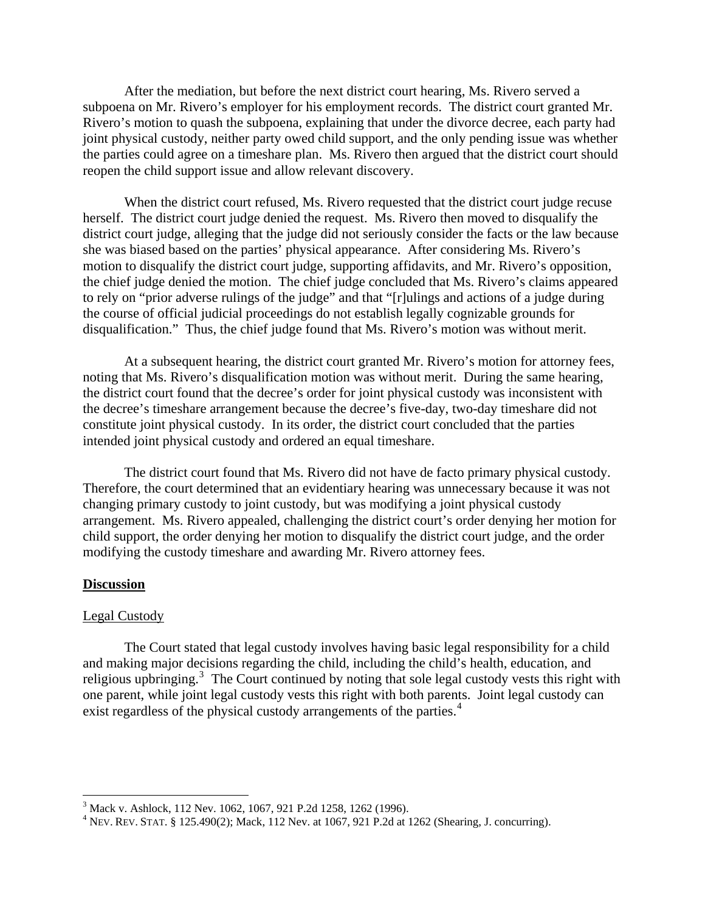After the mediation, but before the next district court hearing, Ms. Rivero served a subpoena on Mr. Rivero's employer for his employment records. The district court granted Mr. Rivero's motion to quash the subpoena, explaining that under the divorce decree, each party had joint physical custody, neither party owed child support, and the only pending issue was whether the parties could agree on a timeshare plan. Ms. Rivero then argued that the district court should reopen the child support issue and allow relevant discovery.

 When the district court refused, Ms. Rivero requested that the district court judge recuse herself. The district court judge denied the request. Ms. Rivero then moved to disqualify the district court judge, alleging that the judge did not seriously consider the facts or the law because she was biased based on the parties' physical appearance. After considering Ms. Rivero's motion to disqualify the district court judge, supporting affidavits, and Mr. Rivero's opposition, the chief judge denied the motion. The chief judge concluded that Ms. Rivero's claims appeared to rely on "prior adverse rulings of the judge" and that "[r]ulings and actions of a judge during the course of official judicial proceedings do not establish legally cognizable grounds for disqualification." Thus, the chief judge found that Ms. Rivero's motion was without merit.

 At a subsequent hearing, the district court granted Mr. Rivero's motion for attorney fees, noting that Ms. Rivero's disqualification motion was without merit. During the same hearing, the district court found that the decree's order for joint physical custody was inconsistent with the decree's timeshare arrangement because the decree's five-day, two-day timeshare did not constitute joint physical custody. In its order, the district court concluded that the parties intended joint physical custody and ordered an equal timeshare.

 The district court found that Ms. Rivero did not have de facto primary physical custody. Therefore, the court determined that an evidentiary hearing was unnecessary because it was not changing primary custody to joint custody, but was modifying a joint physical custody arrangement. Ms. Rivero appealed, challenging the district court's order denying her motion for child support, the order denying her motion to disqualify the district court judge, and the order modifying the custody timeshare and awarding Mr. Rivero attorney fees.

#### **Discussion**

#### Legal Custody

 The Court stated that legal custody involves having basic legal responsibility for a child and making major decisions regarding the child, including the child's health, education, and religious upbringing.<sup>[3](#page-2-0)</sup> The Court continued by noting that sole legal custody vests this right with one parent, while joint legal custody vests this right with both parents. Joint legal custody can exist regardless of the physical custody arrangements of the parties.<sup>[4](#page-2-1)</sup>

 3 Mack v. Ashlock, 112 Nev. 1062, 1067, 921 P.2d 1258, 1262 (1996).

<span id="page-2-1"></span><span id="page-2-0"></span> $^{4}$  NEV. REV. STAT. § 125.490(2); Mack, 112 Nev. at 1067, 921 P.2d at 1262 (Shearing, J. concurring).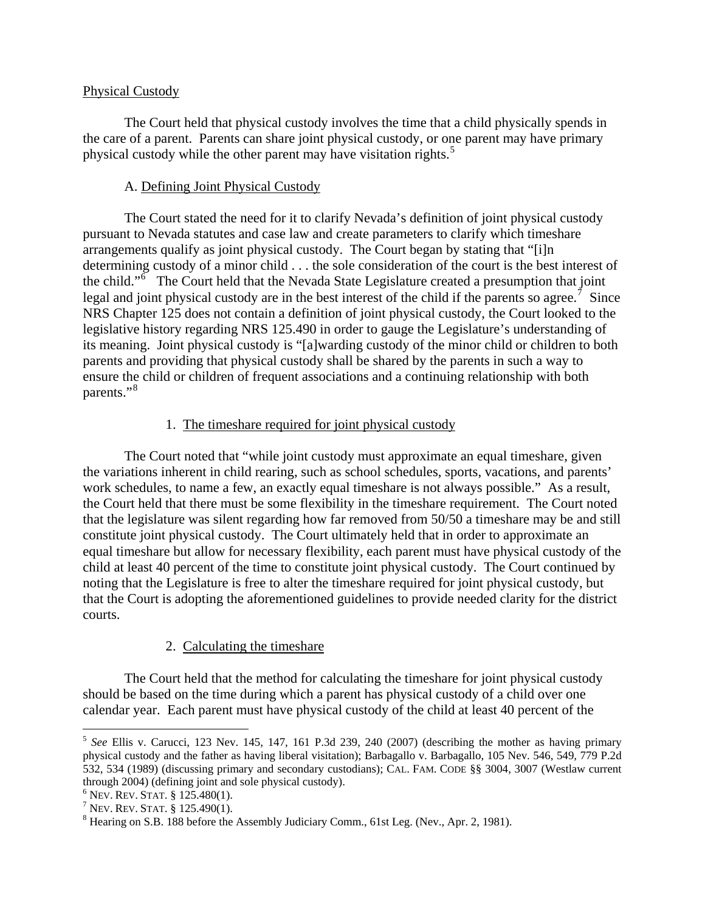#### Physical Custody

 The Court held that physical custody involves the time that a child physically spends in the care of a parent. Parents can share joint physical custody, or one parent may have primary physical custody while the other parent may have visitation rights.<sup>[5](#page-3-0)</sup>

#### A. Defining Joint Physical Custody

 The Court stated the need for it to clarify Nevada's definition of joint physical custody pursuant to Nevada statutes and case law and create parameters to clarify which timeshare arrangements qualify as joint physical custody. The Court began by stating that "[i]n determining custody of a minor child . . . the sole consideration of the court is the best interest of the child." $\delta$  The Court held that the Nevada State Legislature created a presumption that joint legal and joint physical custody are in the best interest of the child if the parents so agree.<sup>[7](#page-3-2)</sup> Since NRS Chapter 125 does not contain a definition of joint physical custody, the Court looked to the legislative history regarding NRS 125.490 in order to gauge the Legislature's understanding of its meaning. Joint physical custody is "[a]warding custody of the minor child or children to both parents and providing that physical custody shall be shared by the parents in such a way to ensure the child or children of frequent associations and a continuing relationship with both parents."<sup>[8](#page-3-3)</sup>

#### 1. The timeshare required for joint physical custody

 The Court noted that "while joint custody must approximate an equal timeshare, given the variations inherent in child rearing, such as school schedules, sports, vacations, and parents' work schedules, to name a few, an exactly equal timeshare is not always possible." As a result, the Court held that there must be some flexibility in the timeshare requirement. The Court noted that the legislature was silent regarding how far removed from 50/50 a timeshare may be and still constitute joint physical custody. The Court ultimately held that in order to approximate an equal timeshare but allow for necessary flexibility, each parent must have physical custody of the child at least 40 percent of the time to constitute joint physical custody. The Court continued by noting that the Legislature is free to alter the timeshare required for joint physical custody, but that the Court is adopting the aforementioned guidelines to provide needed clarity for the district courts.

#### 2. Calculating the timeshare

 The Court held that the method for calculating the timeshare for joint physical custody should be based on the time during which a parent has physical custody of a child over one calendar year. Each parent must have physical custody of the child at least 40 percent of the

 $\overline{a}$ 

<span id="page-3-0"></span><sup>5</sup> *See* Ellis v. Carucci, 123 Nev. 145, 147, 161 P.3d 239, 240 (2007) (describing the mother as having primary physical custody and the father as having liberal visitation); Barbagallo v. Barbagallo, 105 Nev. 546, 549, 779 P.2d 532, 534 (1989) (discussing primary and secondary custodians); CAL. FAM. CODE §§ 3004, 3007 (Westlaw current through 2004) (defining joint and sole physical custody).

<span id="page-3-1"></span><sup>&</sup>lt;sup>6</sup> Nev. Rev. Stat. § 125.480(1).

<span id="page-3-2"></span> $7$  Nev. Rev. Stat. § 125.490(1).

<span id="page-3-3"></span><sup>&</sup>lt;sup>8</sup> Hearing on S.B. 188 before the Assembly Judiciary Comm., 61st Leg. (Nev., Apr. 2, 1981).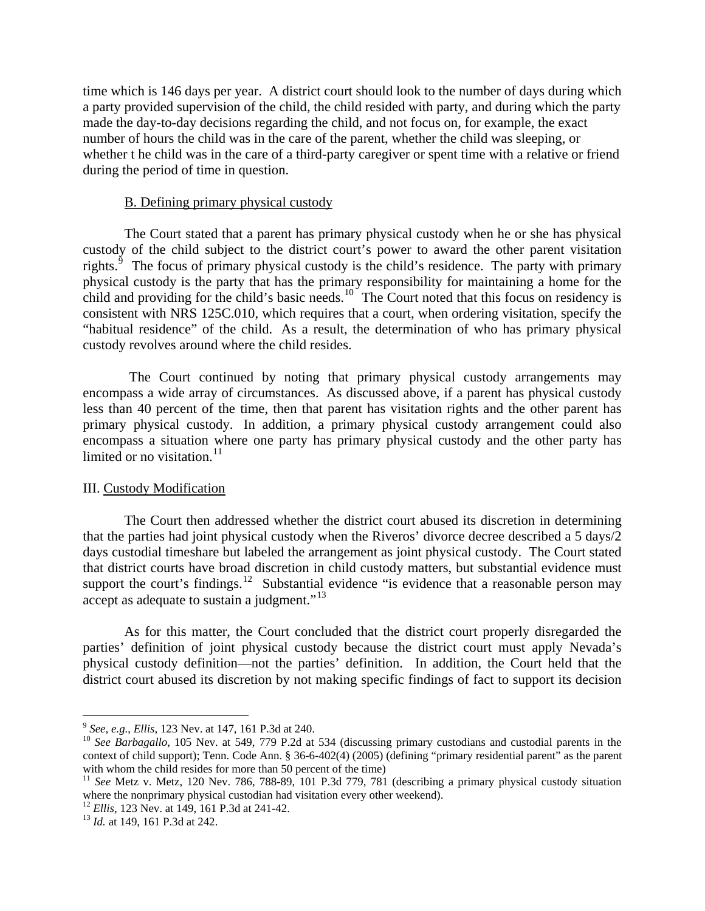time which is 146 days per year. A district court should look to the number of days during which a party provided supervision of the child, the child resided with party, and during which the party made the day-to-day decisions regarding the child, and not focus on, for example, the exact number of hours the child was in the care of the parent, whether the child was sleeping, or whether t he child was in the care of a third-party caregiver or spent time with a relative or friend during the period of time in question.

#### B. Defining primary physical custody

 The Court stated that a parent has primary physical custody when he or she has physical custody of the child subject to the district court's power to award the other parent visitation rights. $\frac{3}{7}$  The focus of primary physical custody is the child's residence. The party with primary physical custody is the party that has the primary responsibility for maintaining a home for the child and providing for the child's basic needs.<sup>[10](#page-4-1)</sup> The Court noted that this focus on residency is consistent with NRS 125C.010, which requires that a court, when ordering visitation, specify the "habitual residence" of the child. As a result, the determination of who has primary physical custody revolves around where the child resides.

 The Court continued by noting that primary physical custody arrangements may encompass a wide array of circumstances. As discussed above, if a parent has physical custody less than 40 percent of the time, then that parent has visitation rights and the other parent has primary physical custody. In addition, a primary physical custody arrangement could also encompass a situation where one party has primary physical custody and the other party has limited or no visitation. $11$ 

#### III. Custody Modification

 The Court then addressed whether the district court abused its discretion in determining that the parties had joint physical custody when the Riveros' divorce decree described a 5 days/2 days custodial timeshare but labeled the arrangement as joint physical custody. The Court stated that district courts have broad discretion in child custody matters, but substantial evidence must support the court's findings.<sup>[12](#page-4-3)</sup> Substantial evidence "is evidence that a reasonable person may accept as adequate to sustain a judgment."<sup>[13](#page-4-4)</sup>

 As for this matter, the Court concluded that the district court properly disregarded the parties' definition of joint physical custody because the district court must apply Nevada's physical custody definition—not the parties' definition. In addition, the Court held that the district court abused its discretion by not making specific findings of fact to support its decision

1

<span id="page-4-1"></span><span id="page-4-0"></span><sup>9</sup> *See, e.g.*, *Ellis*, 123 Nev. at 147, 161 P.3d at 240. 10 *See Barbagallo*, 105 Nev. at 549, 779 P.2d at 534 (discussing primary custodians and custodial parents in the context of child support); Tenn. Code Ann. § 36-6-402(4) (2005) (defining "primary residential parent" as the parent with whom the child resides for more than 50 percent of the time)

<span id="page-4-2"></span><sup>&</sup>lt;sup>11</sup> *See* Metz v. Metz, 120 Nev. 786, 788-89, 101 P.3d 779, 781 (describing a primary physical custody situation where the nonprimary physical custodian had visitation every other weekend).

<span id="page-4-4"></span><span id="page-4-3"></span><sup>&</sup>lt;sup>12</sup> *Ellis*, 123 Nev. at 149, 161 P.3d at 241-42.<br><sup>13</sup> *Id.* at 149, 161 P.3d at 242.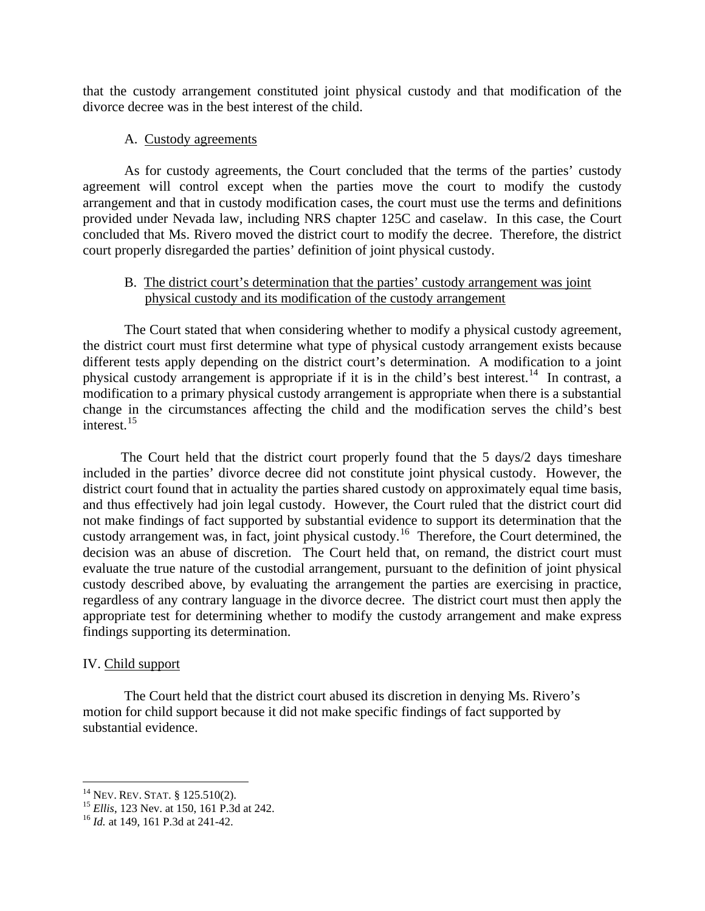that the custody arrangement constituted joint physical custody and that modification of the divorce decree was in the best interest of the child.

#### A. Custody agreements

 As for custody agreements, the Court concluded that the terms of the parties' custody agreement will control except when the parties move the court to modify the custody arrangement and that in custody modification cases, the court must use the terms and definitions provided under Nevada law, including NRS chapter 125C and caselaw. In this case, the Court concluded that Ms. Rivero moved the district court to modify the decree. Therefore, the district court properly disregarded the parties' definition of joint physical custody.

#### B. The district court's determination that the parties' custody arrangement was joint physical custody and its modification of the custody arrangement

 The Court stated that when considering whether to modify a physical custody agreement, the district court must first determine what type of physical custody arrangement exists because different tests apply depending on the district court's determination. A modification to a joint physical custody arrangement is appropriate if it is in the child's best interest.[14](#page-5-0) In contrast, a modification to a primary physical custody arrangement is appropriate when there is a substantial change in the circumstances affecting the child and the modification serves the child's best interest.<sup>[15](#page-5-1)</sup>

 The Court held that the district court properly found that the 5 days/2 days timeshare included in the parties' divorce decree did not constitute joint physical custody. However, the district court found that in actuality the parties shared custody on approximately equal time basis, and thus effectively had join legal custody. However, the Court ruled that the district court did not make findings of fact supported by substantial evidence to support its determination that the custody arrangement was, in fact, joint physical custody.[16](#page-5-2) Therefore, the Court determined, the decision was an abuse of discretion. The Court held that, on remand, the district court must evaluate the true nature of the custodial arrangement, pursuant to the definition of joint physical custody described above, by evaluating the arrangement the parties are exercising in practice, regardless of any contrary language in the divorce decree. The district court must then apply the appropriate test for determining whether to modify the custody arrangement and make express findings supporting its determination.

#### IV. Child support

 The Court held that the district court abused its discretion in denying Ms. Rivero's motion for child support because it did not make specific findings of fact supported by substantial evidence.

<span id="page-5-0"></span><sup>&</sup>lt;sup>14</sup> Nev. Rev. STAT. § 125.510(2).

<span id="page-5-1"></span><sup>15</sup> *Ellis*, 123 Nev. at 150, 161 P.3d at 242.<br><sup>16</sup> *Id.* at 149, 161 P.3d at 241-42.

<span id="page-5-2"></span>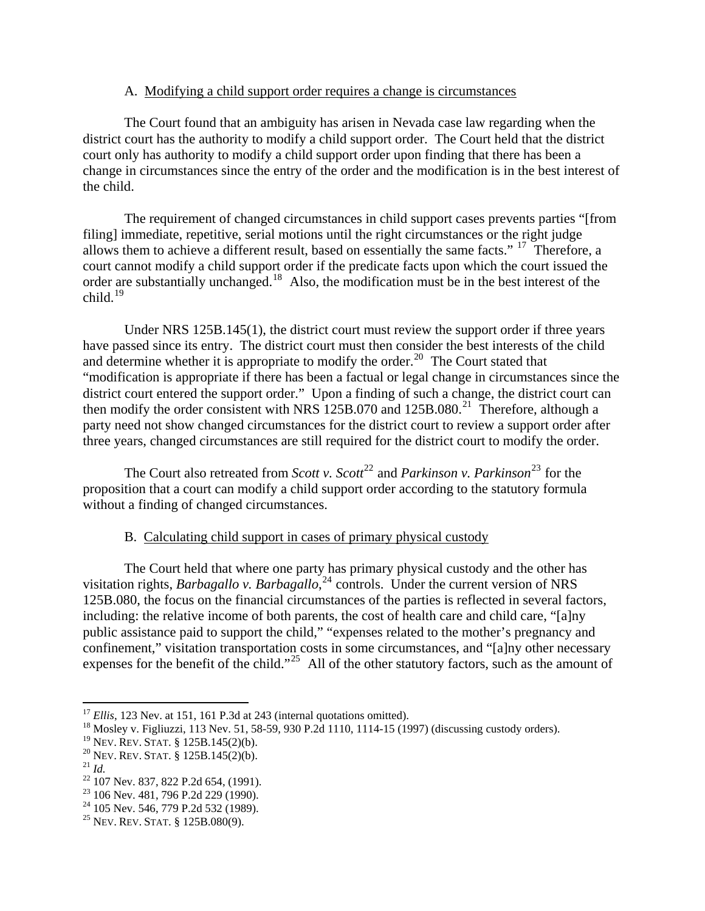#### A. Modifying a child support order requires a change is circumstances

 The Court found that an ambiguity has arisen in Nevada case law regarding when the district court has the authority to modify a child support order. The Court held that the district court only has authority to modify a child support order upon finding that there has been a change in circumstances since the entry of the order and the modification is in the best interest of the child.

 The requirement of changed circumstances in child support cases prevents parties "[from filing] immediate, repetitive, serial motions until the right circumstances or the right judge allows them to achieve a different result, based on essentially the same facts." <sup>[17](#page-6-0)</sup> Therefore, a court cannot modify a child support order if the predicate facts upon which the court issued the order are substantially unchanged.<sup>[18](#page-6-1)</sup> Also, the modification must be in the best interest of the child. $19$ 

 Under NRS 125B.145(1), the district court must review the support order if three years have passed since its entry. The district court must then consider the best interests of the child and determine whether it is appropriate to modify the order.<sup>[20](#page-6-3)</sup> The Court stated that "modification is appropriate if there has been a factual or legal change in circumstances since the district court entered the support order." Upon a finding of such a change, the district court can then modify the order consistent with NRS 125B.070 and 125B.080.<sup>[21](#page-6-4)</sup> Therefore, although a party need not show changed circumstances for the district court to review a support order after three years, changed circumstances are still required for the district court to modify the order.

The Court also retreated from *Scott v. Scott*<sup>[22](#page-6-5)</sup> and *Parkinson v. Parkinson*<sup>[23](#page-6-6)</sup> for the proposition that a court can modify a child support order according to the statutory formula without a finding of changed circumstances.

#### B. Calculating child support in cases of primary physical custody

 The Court held that where one party has primary physical custody and the other has visitation rights, *Barbagallo v. Barbagallo*, [24](#page-6-7) controls. Under the current version of NRS 125B.080, the focus on the financial circumstances of the parties is reflected in several factors, including: the relative income of both parents, the cost of health care and child care, "[a]ny public assistance paid to support the child," "expenses related to the mother's pregnancy and confinement," visitation transportation costs in some circumstances, and "[a]ny other necessary expenses for the benefit of the child."<sup>[25](#page-6-8)</sup> All of the other statutory factors, such as the amount of

1

<span id="page-6-1"></span><span id="page-6-0"></span><sup>&</sup>lt;sup>17</sup> *Ellis*, 123 Nev. at 151, 161 P.3d at 243 (internal quotations omitted).<br><sup>18</sup> Mosley v. Figliuzzi, 113 Nev. 51, 58-59, 930 P.2d 1110, 1114-15 (1997) (discussing custody orders).<br><sup>19</sup> NEV. REV. STAT. § 125B.145(2)(b).

<span id="page-6-4"></span><span id="page-6-3"></span><span id="page-6-2"></span><sup>&</sup>lt;sup>20</sup> NEV. REV. STAT. § 125B.145(2)(b).<br><sup>21</sup> *Id.* <sup>22</sup> 107 Nev. 837, 822 P.2d 654, (1991).

<span id="page-6-5"></span><sup>&</sup>lt;sup>23</sup> 106 Nev. 481, 796 P.2d 229 (1990).

<span id="page-6-7"></span><span id="page-6-6"></span><sup>&</sup>lt;sup>24</sup> 105 Nev. 546, 779 P.2d 532 (1989).

<span id="page-6-8"></span><sup>25</sup> NEV. REV. STAT. § 125B.080(9).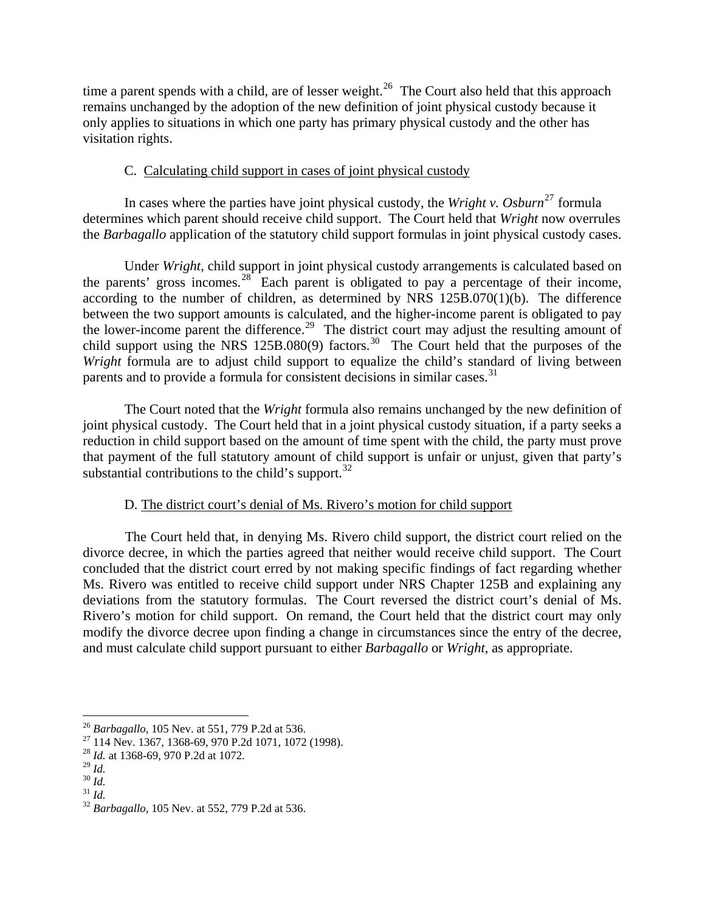time a parent spends with a child, are of lesser weight.<sup>[26](#page-7-0)</sup> The Court also held that this approach remains unchanged by the adoption of the new definition of joint physical custody because it only applies to situations in which one party has primary physical custody and the other has visitation rights.

#### C. Calculating child support in cases of joint physical custody

In cases where the parties have joint physical custody, the *Wright v. Osburn*<sup>[27](#page-7-1)</sup> formula determines which parent should receive child support. The Court held that *Wright* now overrules the *Barbagallo* application of the statutory child support formulas in joint physical custody cases.

 Under *Wright*, child support in joint physical custody arrangements is calculated based on the parents' gross incomes.<sup>[28](#page-7-2)</sup> Each parent is obligated to pay a percentage of their income, according to the number of children, as determined by NRS 125B.070(1)(b). The difference between the two support amounts is calculated, and the higher-income parent is obligated to pay the lower-income parent the difference.<sup>[29](#page-7-3)</sup> The district court may adjust the resulting amount of child support using the NRS 125B.080(9) factors.<sup>[30](#page-7-4)</sup> The Court held that the purposes of the *Wright* formula are to adjust child support to equalize the child's standard of living between parents and to provide a formula for consistent decisions in similar cases.<sup>[31](#page-7-5)</sup>

 The Court noted that the *Wright* formula also remains unchanged by the new definition of joint physical custody. The Court held that in a joint physical custody situation, if a party seeks a reduction in child support based on the amount of time spent with the child, the party must prove that payment of the full statutory amount of child support is unfair or unjust, given that party's substantial contributions to the child's support.  $32$ 

#### D. The district court's denial of Ms. Rivero's motion for child support

 The Court held that, in denying Ms. Rivero child support, the district court relied on the divorce decree, in which the parties agreed that neither would receive child support. The Court concluded that the district court erred by not making specific findings of fact regarding whether Ms. Rivero was entitled to receive child support under NRS Chapter 125B and explaining any deviations from the statutory formulas. The Court reversed the district court's denial of Ms. Rivero's motion for child support. On remand, the Court held that the district court may only modify the divorce decree upon finding a change in circumstances since the entry of the decree, and must calculate child support pursuant to either *Barbagallo* or *Wright*, as appropriate.

1

<span id="page-7-6"></span>

<span id="page-7-0"></span>

<sup>&</sup>lt;sup>26</sup> *Barbagallo*, 105 Nev. at 551, 779 P.2d at 536.<br><sup>27</sup> 114 Nev. 1367, 1368-69, 970 P.2d 1071, 1072 (1998).

<span id="page-7-2"></span><span id="page-7-1"></span><sup>&</sup>lt;sup>28</sup> *Id.* at 1368-69, 970 P.2d at 1072.<br><sup>29</sup> *Id.* 

<span id="page-7-5"></span><span id="page-7-4"></span><span id="page-7-3"></span><sup>29</sup> *Id.* <sup>30</sup> *Id.* <sup>31</sup> *Id.* <sup>32</sup> *Barbagallo*, 105 Nev. at 552, 779 P.2d at 536.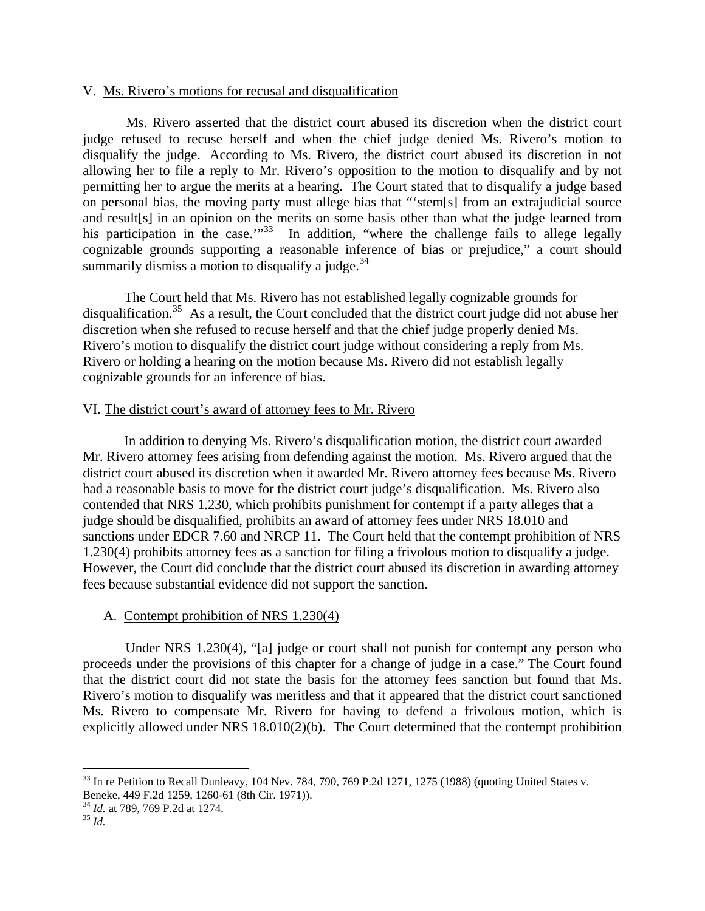#### V. Ms. Rivero's motions for recusal and disqualification

 Ms. Rivero asserted that the district court abused its discretion when the district court judge refused to recuse herself and when the chief judge denied Ms. Rivero's motion to disqualify the judge. According to Ms. Rivero, the district court abused its discretion in not allowing her to file a reply to Mr. Rivero's opposition to the motion to disqualify and by not permitting her to argue the merits at a hearing. The Court stated that to disqualify a judge based on personal bias, the moving party must allege bias that "'stem[s] from an extrajudicial source and result[s] in an opinion on the merits on some basis other than what the judge learned from his participation in the case. $1^{33}$  $1^{33}$  $1^{33}$  In addition, "where the challenge fails to allege legally cognizable grounds supporting a reasonable inference of bias or prejudice," a court should summarily dismiss a motion to disqualify a judge. $34$ 

 The Court held that Ms. Rivero has not established legally cognizable grounds for disqualification.<sup>[35](#page-8-2)</sup> As a result, the Court concluded that the district court judge did not abuse her discretion when she refused to recuse herself and that the chief judge properly denied Ms. Rivero's motion to disqualify the district court judge without considering a reply from Ms. Rivero or holding a hearing on the motion because Ms. Rivero did not establish legally cognizable grounds for an inference of bias.

#### VI. The district court's award of attorney fees to Mr. Rivero

 In addition to denying Ms. Rivero's disqualification motion, the district court awarded Mr. Rivero attorney fees arising from defending against the motion. Ms. Rivero argued that the district court abused its discretion when it awarded Mr. Rivero attorney fees because Ms. Rivero had a reasonable basis to move for the district court judge's disqualification. Ms. Rivero also contended that NRS 1.230, which prohibits punishment for contempt if a party alleges that a judge should be disqualified, prohibits an award of attorney fees under NRS 18.010 and sanctions under EDCR 7.60 and NRCP 11. The Court held that the contempt prohibition of NRS 1.230(4) prohibits attorney fees as a sanction for filing a frivolous motion to disqualify a judge. However, the Court did conclude that the district court abused its discretion in awarding attorney fees because substantial evidence did not support the sanction.

#### A. Contempt prohibition of NRS 1.230(4)

 Under NRS 1.230(4), "[a] judge or court shall not punish for contempt any person who proceeds under the provisions of this chapter for a change of judge in a case." The Court found that the district court did not state the basis for the attorney fees sanction but found that Ms. Rivero's motion to disqualify was meritless and that it appeared that the district court sanctioned Ms. Rivero to compensate Mr. Rivero for having to defend a frivolous motion, which is explicitly allowed under NRS 18.010(2)(b). The Court determined that the contempt prohibition

 $\overline{a}$ 

<span id="page-8-0"></span> $33$  In re Petition to Recall Dunleavy, 104 Nev. 784, 790, 769 P.2d 1271, 1275 (1988) (quoting United States v. Beneke, 449 F.2d 1259, 1260-61 (8th Cir. 1971)).

<span id="page-8-2"></span><span id="page-8-1"></span><sup>34</sup> *Id.* at 789, 769 P.2d at 1274. 35 *Id.*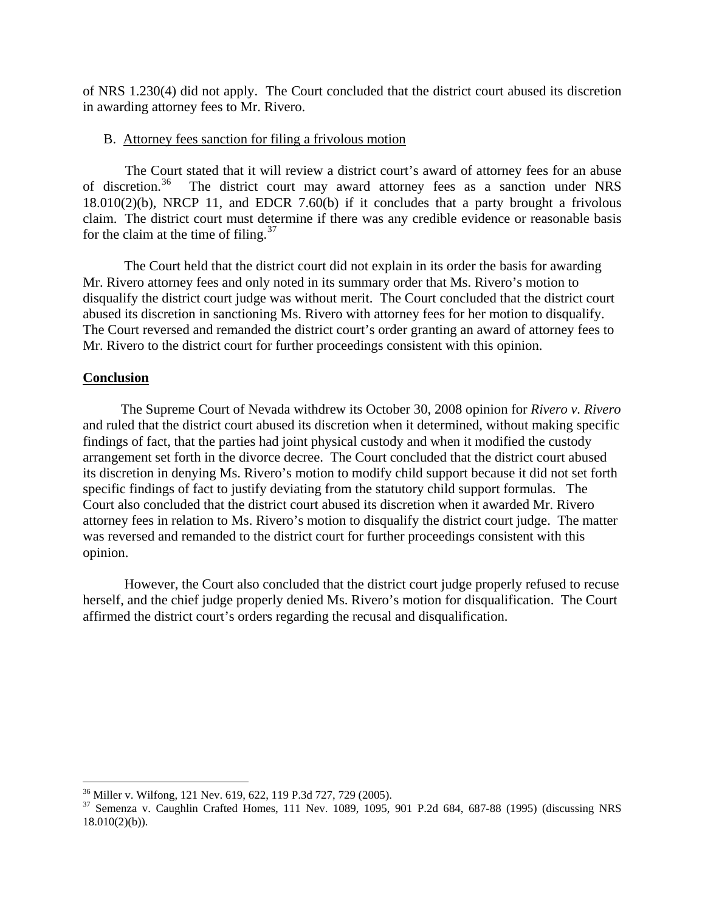of NRS 1.230(4) did not apply. The Court concluded that the district court abused its discretion in awarding attorney fees to Mr. Rivero.

#### B. Attorney fees sanction for filing a frivolous motion

 The Court stated that it will review a district court's award of attorney fees for an abuse of discretion.<sup>[36](#page-9-0)</sup> The district court may award attorney fees as a sanction under NRS 18.010(2)(b), NRCP 11, and EDCR 7.60(b) if it concludes that a party brought a frivolous claim. The district court must determine if there was any credible evidence or reasonable basis for the claim at the time of filing.<sup>[37](#page-9-1)</sup>

 The Court held that the district court did not explain in its order the basis for awarding Mr. Rivero attorney fees and only noted in its summary order that Ms. Rivero's motion to disqualify the district court judge was without merit. The Court concluded that the district court abused its discretion in sanctioning Ms. Rivero with attorney fees for her motion to disqualify. The Court reversed and remanded the district court's order granting an award of attorney fees to Mr. Rivero to the district court for further proceedings consistent with this opinion.

#### **Conclusion**

 $\overline{a}$ 

 The Supreme Court of Nevada withdrew its October 30, 2008 opinion for *Rivero v. Rivero* and ruled that the district court abused its discretion when it determined, without making specific findings of fact, that the parties had joint physical custody and when it modified the custody arrangement set forth in the divorce decree. The Court concluded that the district court abused its discretion in denying Ms. Rivero's motion to modify child support because it did not set forth specific findings of fact to justify deviating from the statutory child support formulas. The Court also concluded that the district court abused its discretion when it awarded Mr. Rivero attorney fees in relation to Ms. Rivero's motion to disqualify the district court judge. The matter was reversed and remanded to the district court for further proceedings consistent with this opinion.

 However, the Court also concluded that the district court judge properly refused to recuse herself, and the chief judge properly denied Ms. Rivero's motion for disqualification. The Court affirmed the district court's orders regarding the recusal and disqualification.

<sup>36</sup> Miller v. Wilfong, 121 Nev. 619, 622, 119 P.3d 727, 729 (2005).

<span id="page-9-1"></span><span id="page-9-0"></span><sup>37</sup> Semenza v. Caughlin Crafted Homes, 111 Nev. 1089, 1095, 901 P.2d 684, 687-88 (1995) (discussing NRS 18.010(2)(b)).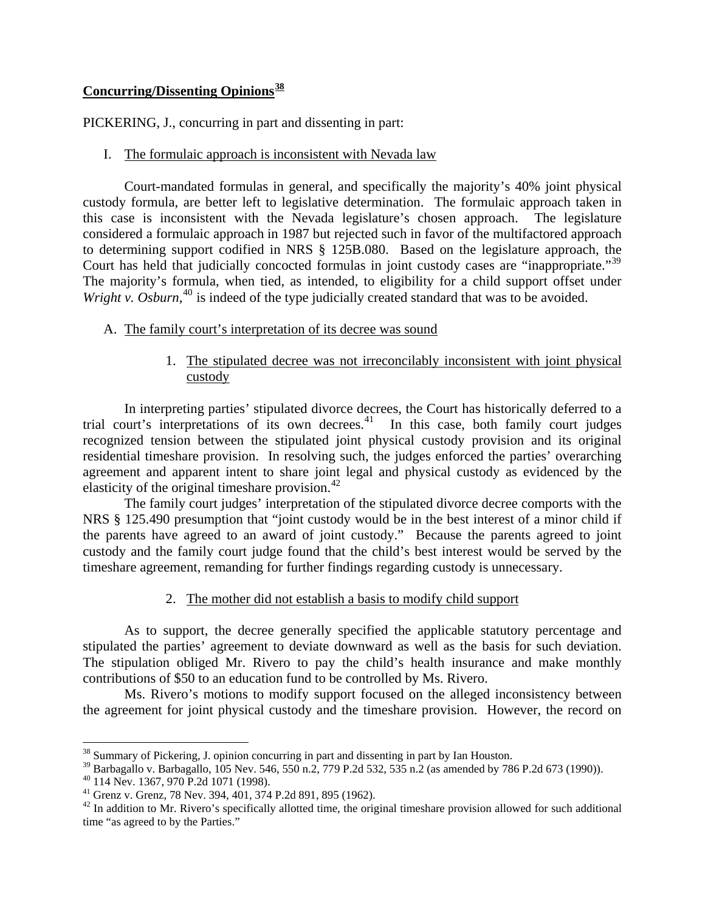#### **Concurring/Dissenting Opinions[38](#page-10-0)**

PICKERING, J., concurring in part and dissenting in part:

I. The formulaic approach is inconsistent with Nevada law

 Court-mandated formulas in general, and specifically the majority's 40% joint physical custody formula, are better left to legislative determination. The formulaic approach taken in this case is inconsistent with the Nevada legislature's chosen approach. The legislature considered a formulaic approach in 1987 but rejected such in favor of the multifactored approach to determining support codified in NRS § 125B.080. Based on the legislature approach, the Court has held that judicially concocted formulas in joint custody cases are "inappropriate."<sup>39</sup> The majority's formula, when tied, as intended, to eligibility for a child support offset under Wright v. Osburn,<sup>[40](#page-10-2)</sup> is indeed of the type judicially created standard that was to be avoided.

- A. The family court's interpretation of its decree was sound
	- 1. The stipulated decree was not irreconcilably inconsistent with joint physical custody

In interpreting parties' stipulated divorce decrees, the Court has historically deferred to a trial court's interpretations of its own decrees.<sup>[41](#page-10-3)</sup> In this case, both family court judges recognized tension between the stipulated joint physical custody provision and its original residential timeshare provision. In resolving such, the judges enforced the parties' overarching agreement and apparent intent to share joint legal and physical custody as evidenced by the elasticity of the original timeshare provision.<sup>[42](#page-10-4)</sup>

The family court judges' interpretation of the stipulated divorce decree comports with the NRS § 125.490 presumption that "joint custody would be in the best interest of a minor child if the parents have agreed to an award of joint custody." Because the parents agreed to joint custody and the family court judge found that the child's best interest would be served by the timeshare agreement, remanding for further findings regarding custody is unnecessary.

#### 2. The mother did not establish a basis to modify child support

As to support, the decree generally specified the applicable statutory percentage and stipulated the parties' agreement to deviate downward as well as the basis for such deviation. The stipulation obliged Mr. Rivero to pay the child's health insurance and make monthly contributions of \$50 to an education fund to be controlled by Ms. Rivero.

Ms. Rivero's motions to modify support focused on the alleged inconsistency between the agreement for joint physical custody and the timeshare provision. However, the record on

 $\overline{a}$ <sup>38</sup> Summary of Pickering, J. opinion concurring in part and dissenting in part by Ian Houston.

<span id="page-10-1"></span><span id="page-10-0"></span><sup>&</sup>lt;sup>39</sup> Barbagallo v. Barbagallo, 105 Nev. 546, 550 n.2, 779 P.2d 532, 535 n.2 (as amended by 786 P.2d 673 (1990)).<br><sup>40</sup> 114 Nev. 1367, 970 P.2d 1071 (1998).

<span id="page-10-3"></span><span id="page-10-2"></span><sup>41</sup> Grenz v. Grenz, 78 Nev. 394, 401, 374 P.2d 891, 895 (1962).

<span id="page-10-4"></span> $42$  In addition to Mr. Rivero's specifically allotted time, the original timeshare provision allowed for such additional time "as agreed to by the Parties."